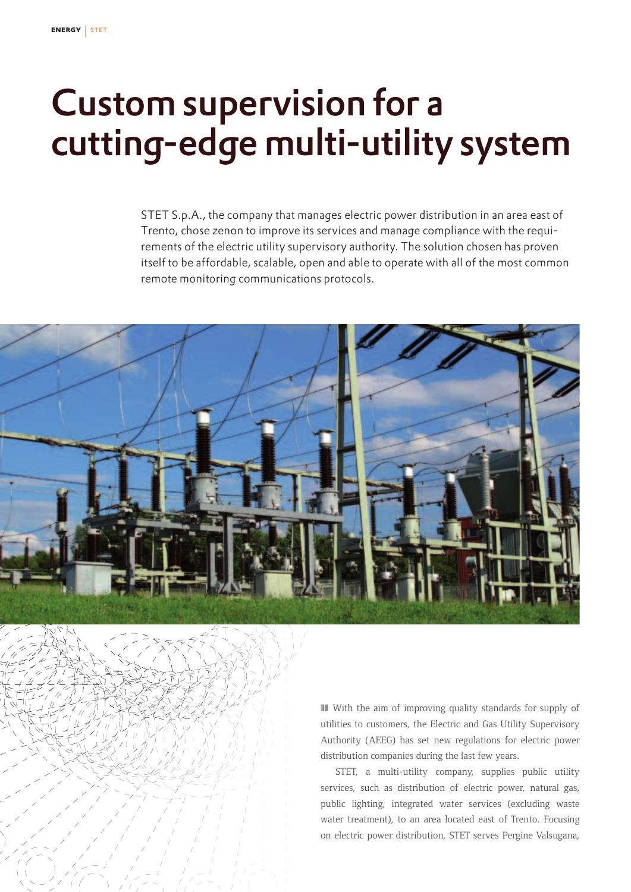## Custom supervision for a cutting-edge multi-utility system

STET S.p.A., the company that manages electric power distribution in an area east of Trento, chose zenon to improve its services and manage compliance with the requirements of the electric utility supervisory authority. The solution chosen has proven itself to be affordable, scalable, open and able to operate with all of the most common remote monitoring communications protocols.



❘❙❚ With the aim of improving quality standards for supply of utilities to customers, the Electric and Gas Utility Supervisory Authority (AEEG) has set new regulations for electric power distribution companies during the last few years.

STET, a multi-utility company, supplies public utility services, such as distribution of electric power, natural gas, public lighting, integrated water services (excluding waste water treatment), to an area located east of Trento. Focusing on electric power distribution, STET serves Pergine Valsugana,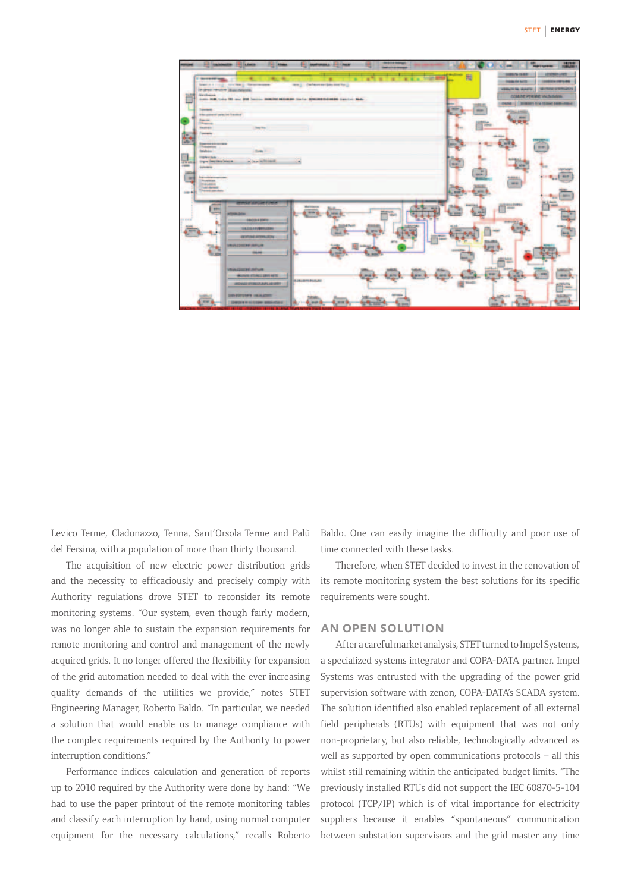| FR ENGINEER IT LOANS<br>÷<br>11104                                                                                                             | <b>THE ENGINEERS &amp; LEWIS COMPANY</b>        | -                                                                                                                            | 14,09.00<br><b>GRAND</b>                                                                                                                                      |
|------------------------------------------------------------------------------------------------------------------------------------------------|-------------------------------------------------|------------------------------------------------------------------------------------------------------------------------------|---------------------------------------------------------------------------------------------------------------------------------------------------------------|
| <b>CONTRACTOR</b><br>technol designation<br>Sept 21 1 1 1 2 1<br>Tel: phone interactive (displantamental)<br><b>Strethning</b>                 | ٠<br>new () : checkers are larry over the ()    | 圈<br><b>Strait and</b>                                                                                                       | <b>SHIPS/N TEAM</b><br><b>CONSUMER</b><br>$-144464444444444444444$<br><b>DISPLAY AVES</b><br><b>VERSION RIG SEARCHER</b><br><b>THE ETHING IS THINK LESSA.</b> |
| June HM Colo III and III Series September Holiday for La Membershields Landre, Nat-<br><b>Tukements</b>                                        |                                                 | $= 1.2$<br>-<br>size.                                                                                                        | <b>COMPETERING VALIMINA</b><br>OUNCE   INSERT TO A STAN SERVICE                                                                                               |
| <b>Standard Strateche Transier</b><br><b>Falcott</b><br><b>The parents</b><br>Testan<br><b>These Fina</b>                                      |                                                 | TS Atmos                                                                                                                     |                                                                                                                                                               |
| <b>Dealership</b><br>Е<br><b><i><u>Deposite Distribute</u></i></b><br>Theasened<br>faishine.<br>Seas II                                        |                                                 |                                                                                                                              | <b>SILMS</b>                                                                                                                                                  |
| <b>Imple e dede</b><br># Guardeltowith<br><b>Digity Deathline Watch</b><br>×<br><b>UP BY ON</b><br>com<br><b>Exterior Inc.</b>                 |                                                 | <b>TIT</b><br><b>uni</b>                                                                                                     |                                                                                                                                                               |
| This number of competences<br>÷<br><b>Screenes</b><br><b>Statution</b><br><b><i><i><u>Additional</u></i></i></b><br><b>Newsawakee</b><br>$-44$ |                                                 | <b>WH</b><br><b>MONT</b><br><b>Briant</b>                                                                                    | <b>ALL ET</b>                                                                                                                                                 |
| <b>WHIM</b><br><b>SECURE</b><br>artests date                                                                                                   | u.<br><b>MARTINER</b><br>\$9.95<br><b>SEART</b> | -                                                                                                                            | -<br><b>Garrier</b>                                                                                                                                           |
| <b>PERMIT</b><br>04/03/4 0501<br><b>SINGICA FIRMINGERS</b><br><b>VESTITATE SETTINGS TO</b>                                                     | <b>GATNA</b>                                    |                                                                                                                              |                                                                                                                                                               |
| <b>VRIVATIONS VARUE</b><br><b>COLAR</b>                                                                                                        |                                                 |                                                                                                                              |                                                                                                                                                               |
| VRIALDSDR UNFLIM<br>ARCHIVES ATLANTICARED HATE:<br><b>Jit Jatusbrits InsuluAI</b><br>ARCHIVES STORED LAWS ASSISTED                             | <b>Land</b>                                     | $\frac{1}{2} \left( \frac{1}{2} \right) \left( \frac{1}{2} \right) \left( \frac{1}{2} \right)$<br><b>APRILE</b><br><b>UH</b> | $-11$                                                                                                                                                         |
| <b>SHENDED RATE VIOLAGEMENT</b><br><b><i><u>SERVICE</u></i></b><br><b>Miner</b><br><b>SENIOR PRODUCTION SERVICES</b><br>-                      | $\frac{1}{2}$                                   |                                                                                                                              | Ŧ2<br><b>SEARCH</b><br><b>SERVI</b><br>--                                                                                                                     |

Levico Terme, Cladonazzo, Tenna, Sant'Orsola Terme and Palù del Fersina, with a population of more than thirty thousand.

The acquisition of new electric power distribution grids and the necessity to efficaciously and precisely comply with Authority regulations drove STET to reconsider its remote monitoring systems. "Our system, even though fairly modern, was no longer able to sustain the expansion requirements for remote monitoring and control and management of the newly acquired grids. It no longer offered the flexibility for expansion of the grid automation needed to deal with the ever increasing quality demands of the utilities we provide," notes STET Engineering Manager, Roberto Baldo. "In particular, we needed a solution that would enable us to manage compliance with the complex requirements required by the Authority to power interruption conditions."

Performance indices calculation and generation of reports up to 2010 required by the Authority were done by hand: "We had to use the paper printout of the remote monitoring tables and classify each interruption by hand, using normal computer equipment for the necessary calculations," recalls Roberto

Baldo. One can easily imagine the difficulty and poor use of time connected with these tasks.

Therefore, when STET decided to invest in the renovation of its remote monitoring system the best solutions for its specific requirements were sought.

## an open solution

After a careful market analysis, STET turned to Impel Systems, a specialized systems integrator and COPA-DATA partner. Impel Systems was entrusted with the upgrading of the power grid supervision software with zenon, COPA-DATA's SCADA system. The solution identified also enabled replacement of all external field peripherals (RTUs) with equipment that was not only non-proprietary, but also reliable, technologically advanced as well as supported by open communications protocols – all this whilst still remaining within the anticipated budget limits. "The previously installed RTUs did not support the IEC 60870-5-104 protocol (TCP/IP) which is of vital importance for electricity suppliers because it enables "spontaneous" communication between substation supervisors and the grid master any time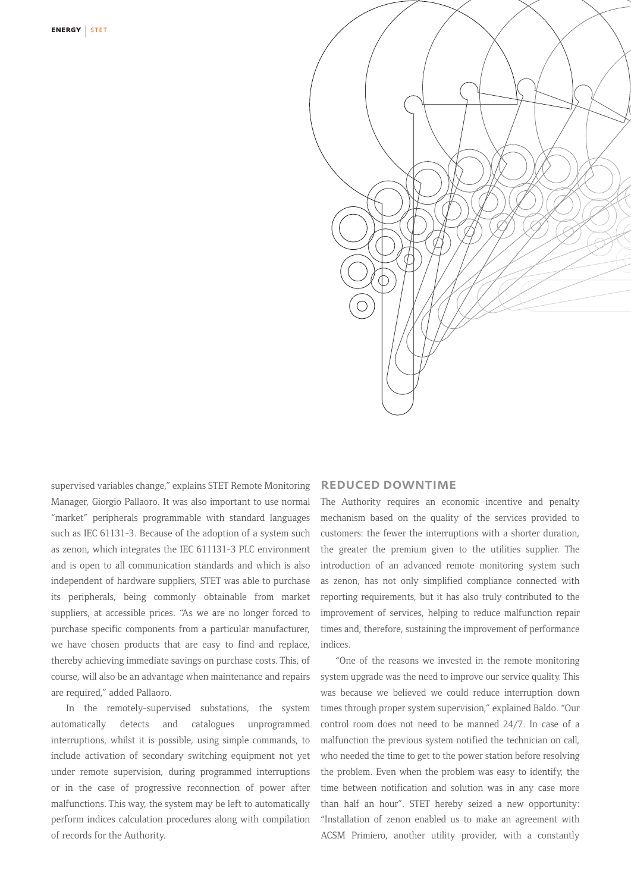

supervised variables change," explains STET Remote Monitoring Manager, Giorgio Pallaoro. It was also important to use normal "market" peripherals programmable with standard languages such as IEC 61131-3. Because of the adoption of a system such as zenon, which integrates the IEC 611131-3 PLC environment and is open to all communication standards and which is also independent of hardware suppliers, STET was able to purchase its peripherals, being commonly obtainable from market suppliers, at accessible prices. "As we are no longer forced to purchase specific components from a particular manufacturer, we have chosen products that are easy to find and replace, thereby achieving immediate savings on purchase costs. This, of course, will also be an advantage when maintenance and repairs are required," added Pallaoro.

In the remotely-supervised substations, the system automatically detects and catalogues unprogrammed interruptions, whilst it is possible, using simple commands, to include activation of secondary switching equipment not yet under remote supervision, during programmed interruptions or in the case of progressive reconnection of power after malfunctions. This way, the system may be left to automatically perform indices calculation procedures along with compilation of records for the Authority.

## reduced downtime

The Authority requires an economic incentive and penalty mechanism based on the quality of the services provided to customers: the fewer the interruptions with a shorter duration, the greater the premium given to the utilities supplier. The introduction of an advanced remote monitoring system such as zenon, has not only simplified compliance connected with reporting requirements, but it has also truly contributed to the improvement of services, helping to reduce malfunction repair times and, therefore, sustaining the improvement of performance indices.

"One of the reasons we invested in the remote monitoring system upgrade was the need to improve our service quality. This was because we believed we could reduce interruption down times through proper system supervision," explained Baldo. "Our control room does not need to be manned 24/7. In case of a malfunction the previous system notified the technician on call, who needed the time to get to the power station before resolving the problem. Even when the problem was easy to identify, the time between notification and solution was in any case more than half an hour". STET hereby seized a new opportunity: "Installation of zenon enabled us to make an agreement with ACSM Primiero, another utility provider, with a constantly